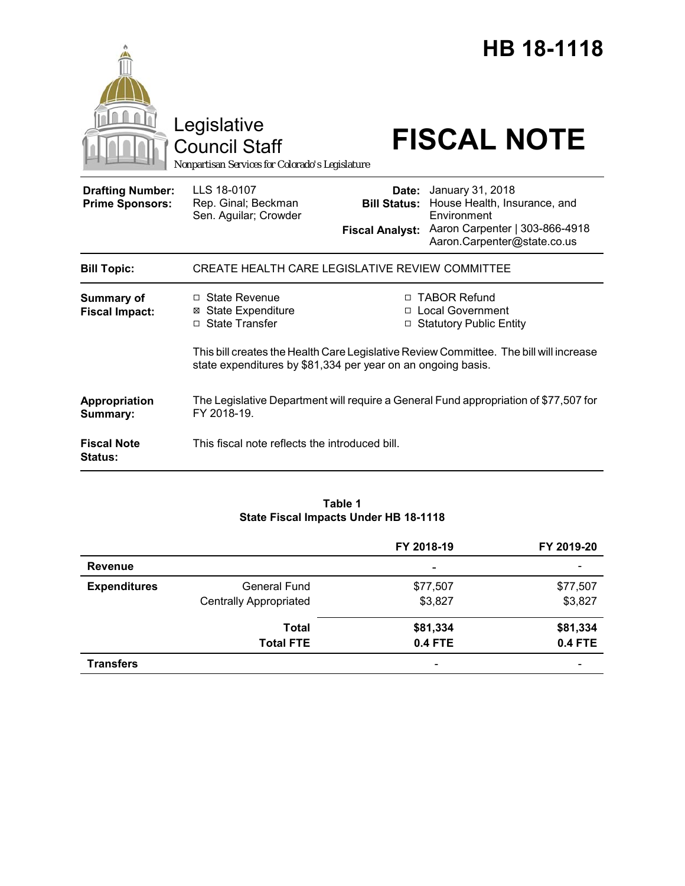|                                                   | Legislative<br><b>Council Staff</b><br>Nonpartisan Services for Colorado's Legislature                                                 |                                                        | HB 18-1118<br><b>FISCAL NOTE</b>                                                                                                                            |  |
|---------------------------------------------------|----------------------------------------------------------------------------------------------------------------------------------------|--------------------------------------------------------|-------------------------------------------------------------------------------------------------------------------------------------------------------------|--|
| <b>Drafting Number:</b><br><b>Prime Sponsors:</b> | LLS 18-0107<br>Rep. Ginal; Beckman<br>Sen. Aguilar; Crowder                                                                            | Date:<br><b>Bill Status:</b><br><b>Fiscal Analyst:</b> | January 31, 2018<br>House Health, Insurance, and<br>Environment<br>Aaron Carpenter   303-866-4918<br>Aaron.Carpenter@state.co.us                            |  |
| <b>Bill Topic:</b>                                | CREATE HEALTH CARE LEGISLATIVE REVIEW COMMITTEE                                                                                        |                                                        |                                                                                                                                                             |  |
| <b>Summary of</b><br><b>Fiscal Impact:</b>        | $\Box$ State Revenue<br><b>⊠</b> State Expenditure<br>□ State Transfer<br>state expenditures by \$81,334 per year on an ongoing basis. |                                                        | □ TABOR Refund<br>□ Local Government<br>□ Statutory Public Entity<br>This bill creates the Health Care Legislative Review Committee. The bill will increase |  |
| Appropriation<br>Summary:                         | The Legislative Department will require a General Fund appropriation of \$77,507 for<br>FY 2018-19                                     |                                                        |                                                                                                                                                             |  |
| <b>Fiscal Note</b><br><b>Status:</b>              | This fiscal note reflects the introduced bill.                                                                                         |                                                        |                                                                                                                                                             |  |

# **Table 1 State Fiscal Impacts Under HB 18-1118**

|                     |                               | FY 2018-19               | FY 2019-20               |
|---------------------|-------------------------------|--------------------------|--------------------------|
| <b>Revenue</b>      |                               | $\overline{\phantom{a}}$ | $\overline{\phantom{a}}$ |
| <b>Expenditures</b> | General Fund                  | \$77,507                 | \$77,507                 |
|                     | <b>Centrally Appropriated</b> | \$3,827                  | \$3,827                  |
|                     | <b>Total</b>                  | \$81,334                 | \$81,334                 |
|                     | <b>Total FTE</b>              | <b>0.4 FTE</b>           | <b>0.4 FTE</b>           |
| <b>Transfers</b>    |                               | $\overline{\phantom{0}}$ | $\overline{\phantom{0}}$ |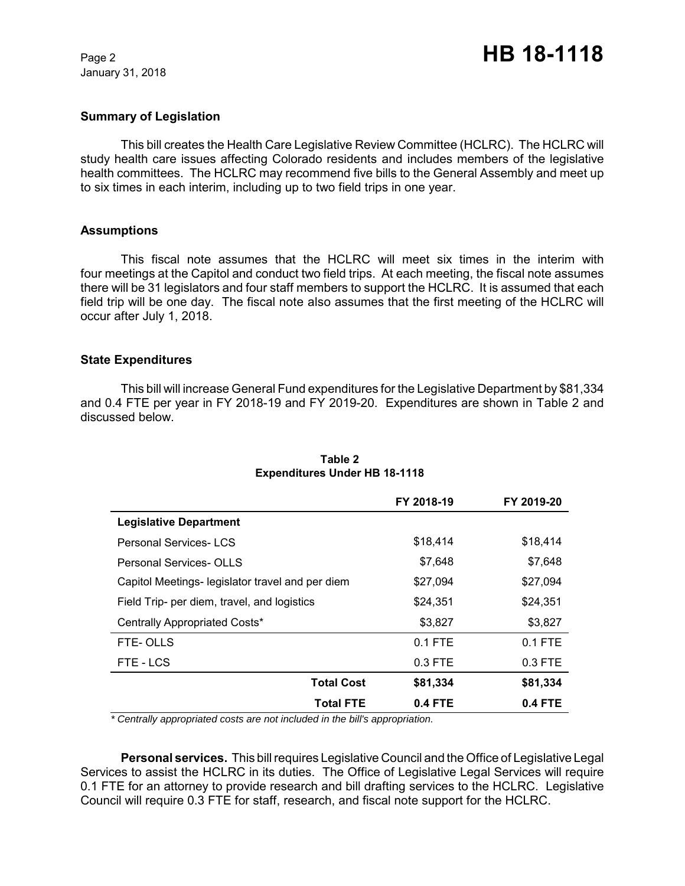January 31, 2018

### **Summary of Legislation**

This bill creates the Health Care Legislative Review Committee (HCLRC). The HCLRC will study health care issues affecting Colorado residents and includes members of the legislative health committees. The HCLRC may recommend five bills to the General Assembly and meet up to six times in each interim, including up to two field trips in one year.

### **Assumptions**

This fiscal note assumes that the HCLRC will meet six times in the interim with four meetings at the Capitol and conduct two field trips. At each meeting, the fiscal note assumes there will be 31 legislators and four staff members to support the HCLRC. It is assumed that each field trip will be one day. The fiscal note also assumes that the first meeting of the HCLRC will occur after July 1, 2018.

### **State Expenditures**

This bill will increase General Fund expenditures for the Legislative Department by \$81,334 and 0.4 FTE per year in FY 2018-19 and FY 2019-20. Expenditures are shown in Table 2 and discussed below.

|                                                  | FY 2018-19 | FY 2019-20 |
|--------------------------------------------------|------------|------------|
| <b>Legislative Department</b>                    |            |            |
| <b>Personal Services-LCS</b>                     | \$18,414   | \$18,414   |
| <b>Personal Services-OLLS</b>                    | \$7,648    | \$7,648    |
| Capitol Meetings- legislator travel and per diem | \$27,094   | \$27,094   |
| Field Trip- per diem, travel, and logistics      | \$24,351   | \$24,351   |
| Centrally Appropriated Costs*                    | \$3,827    | \$3,827    |
| FTE-OLLS                                         | $0.1$ FTE  | $0.1$ FTE  |
| FTE-LCS                                          | $0.3$ FTE  | $0.3$ FTE  |
| <b>Total Cost</b>                                | \$81,334   | \$81,334   |
| <b>Total FTE</b>                                 | $0.4$ FTE  | $0.4$ FTE  |

## **Table 2 Expenditures Under HB 18-1118**

 *\* Centrally appropriated costs are not included in the bill's appropriation.*

**Personal services.** This bill requires Legislative Council and the Office of Legislative Legal Services to assist the HCLRC in its duties. The Office of Legislative Legal Services will require 0.1 FTE for an attorney to provide research and bill drafting services to the HCLRC. Legislative Council will require 0.3 FTE for staff, research, and fiscal note support for the HCLRC.